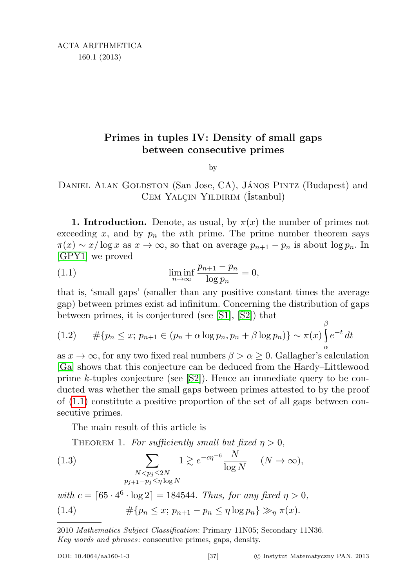## Primes in tuples IV: Density of small gaps between consecutive primes

<span id="page-0-0"></span>by

## DANIEL ALAN GOLDSTON (San Jose, CA), JÁNOS PINTZ (Budapest) and CEM YALÇIN YILDIRIM (İstanbul)

**1. Introduction.** Denote, as usual, by  $\pi(x)$  the number of primes not exceeding x, and by  $p_n$  the nth prime. The prime number theorem says  $\pi(x) \sim x/\log x$  as  $x \to \infty$ , so that on average  $p_{n+1} - p_n$  is about  $\log p_n$ . In [\[GPY1\]](#page-16-0) we proved

(1.1) 
$$
\liminf_{n \to \infty} \frac{p_{n+1} - p_n}{\log p_n} = 0,
$$

that is, 'small gaps' (smaller than any positive constant times the average gap) between primes exist ad infinitum. Concerning the distribution of gaps between primes, it is conjectured (see [\[S1\]](#page-16-1), [\[S2\]](#page-16-2)) that

<span id="page-0-3"></span>
$$
(1.2) \qquad #\{p_n \le x; \ p_{n+1} \in (p_n + \alpha \log p_n, p_n + \beta \log p_n)\} \sim \pi(x) \int_{\alpha}^{\beta} e^{-t} dt
$$

as  $x \to \infty$ , for any two fixed real numbers  $\beta > \alpha \geq 0$ . Gallagher's calculation [\[Ga\]](#page-16-3) shows that this conjecture can be deduced from the Hardy–Littlewood prime k-tuples conjecture (see  $|S2|$ ). Hence an immediate query to be conducted was whether the small gaps between primes attested to by the proof of [\(1.1\)](#page-0-0) constitute a positive proportion of the set of all gaps between consecutive primes.

The main result of this article is

<span id="page-0-2"></span>THEOREM 1. For sufficiently small but fixed  $\eta > 0$ ,

(1.3) 
$$
\sum_{\substack{N < p_j \le 2N \\ p_{j+1} - p_j \le \eta \log N}} 1 \gtrsim e^{-c\eta^{-6}} \frac{N}{\log N} \quad (N \to \infty),
$$

<span id="page-0-1"></span>with  $c = \lceil 65 \cdot 4^6 \cdot \log 2 \rceil = 184544$ . Thus, for any fixed  $\eta > 0$ , (1.4)  $\#\{p_n \leq x; p_{n+1} - p_n \leq \eta \log p_n\} \gg_n \pi(x).$ 

<sup>2010</sup> Mathematics Subject Classification: Primary 11N05; Secondary 11N36. Key words and phrases: consecutive primes, gaps, density.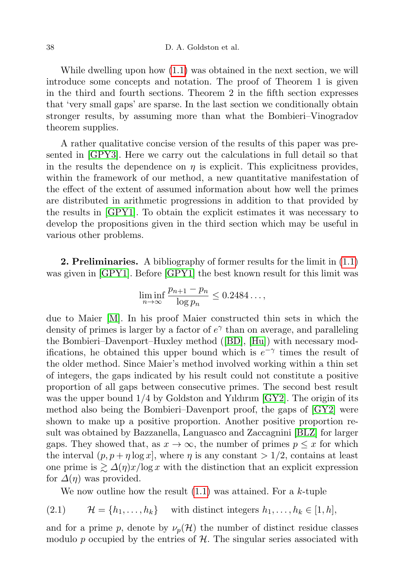While dwelling upon how [\(1.1\)](#page-0-0) was obtained in the next section, we will introduce some concepts and notation. The proof of Theorem 1 is given in the third and fourth sections. Theorem 2 in the fifth section expresses that 'very small gaps' are sparse. In the last section we conditionally obtain stronger results, by assuming more than what the Bombieri–Vinogradov theorem supplies.

A rather qualitative concise version of the results of this paper was presented in [\[GPY3\]](#page-16-4). Here we carry out the calculations in full detail so that in the results the dependence on  $\eta$  is explicit. This explicitness provides, within the framework of our method, a new quantitative manifestation of the effect of the extent of assumed information about how well the primes are distributed in arithmetic progressions in addition to that provided by the results in [\[GPY1\]](#page-16-0). To obtain the explicit estimates it was necessary to develop the propositions given in the third section which may be useful in various other problems.

2. Preliminaries. A bibliography of former results for the limit in  $(1.1)$ was given in [\[GPY1\]](#page-16-0). Before [\[GPY1\]](#page-16-0) the best known result for this limit was

$$
\liminf_{n \to \infty} \frac{p_{n+1} - p_n}{\log p_n} \le 0.2484\dots,
$$

due to Maier [\[M\]](#page-16-5). In his proof Maier constructed thin sets in which the density of primes is larger by a factor of  $e^{\gamma}$  than on average, and paralleling the Bombieri–Davenport–Huxley method ([\[BD\]](#page-16-6), [\[Hu\]](#page-16-7)) with necessary modifications, he obtained this upper bound which is  $e^{-\gamma}$  times the result of the older method. Since Maier's method involved working within a thin set of integers, the gaps indicated by his result could not constitute a positive proportion of all gaps between consecutive primes. The second best result was the upper bound 1/4 by Goldston and Yıldırım [\[GY2\]](#page-16-8). The origin of its method also being the Bombieri–Davenport proof, the gaps of [\[GY2\]](#page-16-8) were shown to make up a positive proportion. Another positive proportion result was obtained by Bazzanella, Languasco and Zaccagnini [\[BLZ\]](#page-16-9) for larger gaps. They showed that, as  $x \to \infty$ , the number of primes  $p \leq x$  for which the interval  $(p, p + \eta \log x)$ , where  $\eta$  is any constant  $> 1/2$ , contains at least one prime is  $\geq \Delta(\eta)x/\log x$  with the distinction that an explicit expression for  $\Delta(\eta)$  was provided.

We now outline how the result  $(1.1)$  was attained. For a k-tuple

$$
(2.1) \t\mathcal{H} = \{h_1, \ldots, h_k\} \t\t with distinct integers  $h_1, \ldots, h_k \in [1, h]$ ,
$$

and for a prime p, denote by  $\nu_p(\mathcal{H})$  the number of distinct residue classes modulo p occupied by the entries of  $H$ . The singular series associated with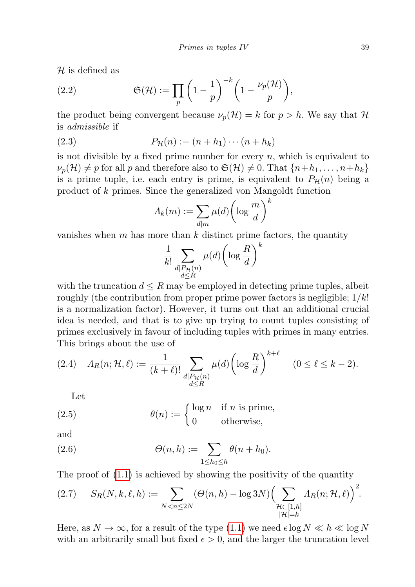$H$  is defined as

(2.2) 
$$
\mathfrak{S}(\mathcal{H}) := \prod_{p} \left(1 - \frac{1}{p}\right)^{-k} \left(1 - \frac{\nu_p(\mathcal{H})}{p}\right),
$$

the product being convergent because  $\nu_p(\mathcal{H}) = k$  for  $p > h$ . We say that  $\mathcal{H}$ is admissible if

(2.3) 
$$
P_{\mathcal{H}}(n) := (n + h_1) \cdots (n + h_k)
$$

is not divisible by a fixed prime number for every  $n$ , which is equivalent to  $\nu_p(\mathcal{H}) \neq p$  for all p and therefore also to  $\mathfrak{S}(\mathcal{H}) \neq 0$ . That  $\{n+h_1, \ldots, n+h_k\}$ is a prime tuple, i.e. each entry is prime, is equivalent to  $P_{\mathcal{H}}(n)$  being a product of k primes. Since the generalized von Mangoldt function

$$
\Lambda_k(m) := \sum_{d|m} \mu(d) \left( \log \frac{m}{d} \right)^k
$$

vanishes when  $m$  has more than  $k$  distinct prime factors, the quantity

$$
\frac{1}{k!} \sum_{\substack{d \mid P_{\mathcal{H}}(n) \\ d \le R}} \mu(d) \bigg( \log \frac{R}{d} \bigg)^k
$$

with the truncation  $d \leq R$  may be employed in detecting prime tuples, albeit roughly (the contribution from proper prime power factors is negligible;  $1/k!$ is a normalization factor). However, it turns out that an additional crucial idea is needed, and that is to give up trying to count tuples consisting of primes exclusively in favour of including tuples with primes in many entries. This brings about the use of

<span id="page-2-0"></span>
$$
(2.4) \quad \Lambda_R(n; \mathcal{H}, \ell) := \frac{1}{(k+\ell)!} \sum_{\substack{d \mid P_{\mathcal{H}}(n) \\ d \le R}} \mu(d) \left( \log \frac{R}{d} \right)^{k+\ell} \quad (0 \le \ell \le k-2).
$$

Let

(2.5) 
$$
\theta(n) := \begin{cases} \log n & \text{if } n \text{ is prime,} \\ 0 & \text{otherwise,} \end{cases}
$$

and

(2.6) 
$$
\Theta(n,h) := \sum_{1 \leq h_0 \leq h} \theta(n+h_0).
$$

The proof of [\(1.1\)](#page-0-0) is achieved by showing the positivity of the quantity

<span id="page-2-1"></span>
$$
(2.7) \qquad S_R(N,k,\ell,h) := \sum_{N < n \le 2N} \left(\Theta(n,h) - \log 3N\right) \left(\sum_{\substack{\mathcal{H} \subset [1,h] \\ |\mathcal{H}| = k}} \Lambda_R(n;\mathcal{H},\ell)\right)^2.
$$

Here, as  $N \to \infty$ , for a result of the type  $(1.1)$  we need  $\epsilon \log N \ll h \ll \log N$ with an arbitrarily small but fixed  $\epsilon > 0$ , and the larger the truncation level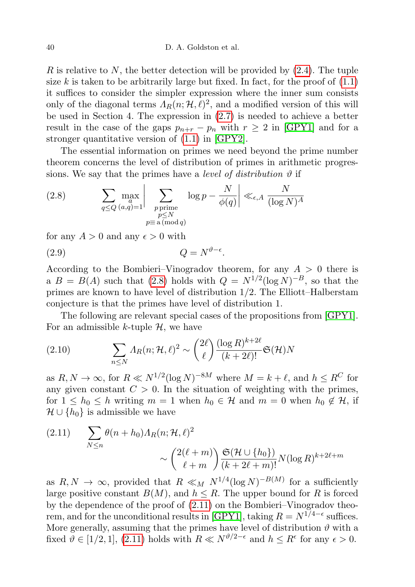R is relative to N, the better detection will be provided by  $(2.4)$ . The tuple size k is taken to be arbitrarily large but fixed. In fact, for the proof of  $(1.1)$ it suffices to consider the simpler expression where the inner sum consists only of the diagonal terms  $\Lambda_R(n; \mathcal{H}, \ell)^2$ , and a modified version of this will be used in Section 4. The expression in [\(2.7\)](#page-2-1) is needed to achieve a better result in the case of the gaps  $p_{n+r} - p_n$  with  $r \geq 2$  in [\[GPY1\]](#page-16-0) and for a stronger quantitative version of [\(1.1\)](#page-0-0) in [\[GPY2\]](#page-16-10).

The essential information on primes we need beyond the prime number theorem concerns the level of distribution of primes in arithmetic progressions. We say that the primes have a *level of distribution*  $\vartheta$  if

<span id="page-3-0"></span>(2.8) 
$$
\sum_{q \le Q} \max_{\substack{a,\\(a,q)=1}} \left| \sum_{\substack{p \text{ prime} \\ p \le N}} \log p - \frac{N}{\phi(q)} \right| \ll_{\epsilon,A} \frac{N}{(\log N)^A}
$$

for any  $A > 0$  and any  $\epsilon > 0$  with

$$
(2.9) \t\t Q = N^{\vartheta - \epsilon}.
$$

According to the Bombieri–Vinogradov theorem, for any  $A > 0$  there is a  $B = B(A)$  such that [\(2.8\)](#page-3-0) holds with  $Q = N^{1/2} (\log N)^{-B}$ , so that the primes are known to have level of distribution 1/2. The Elliott–Halberstam conjecture is that the primes have level of distribution 1.

The following are relevant special cases of the propositions from [\[GPY1\]](#page-16-0). For an admissible k-tuple  $H$ , we have

<span id="page-3-2"></span>(2.10) 
$$
\sum_{n \leq N} \Lambda_R(n; \mathcal{H}, \ell)^2 \sim {2\ell \choose \ell} \frac{(\log R)^{k+2\ell}}{(k+2\ell)!} \mathfrak{S}(\mathcal{H})N
$$

as  $R, N \to \infty$ , for  $R \ll N^{1/2} (\log N)^{-8M}$  where  $M = k + \ell$ , and  $h \leq R^C$  for any given constant  $C > 0$ . In the situation of weighting with the primes, for  $1 \leq h_0 \leq h$  writing  $m = 1$  when  $h_0 \in \mathcal{H}$  and  $m = 0$  when  $h_0 \notin \mathcal{H}$ , if  $\mathcal{H} \cup \{h_0\}$  is admissible we have

<span id="page-3-1"></span>
$$
(2.11) \qquad \sum_{N \le n} \theta(n+h_0) \Lambda_R(n; \mathcal{H}, \ell)^2
$$

$$
\sim \binom{2(\ell+m)}{\ell+m} \frac{\mathfrak{S}(\mathcal{H} \cup \{h_0\})}{(k+2\ell+m)!} N(\log R)^{k+2\ell+m}
$$

as  $R, N \to \infty$ , provided that  $R \ll_M N^{1/4} (\log N)^{-B(M)}$  for a sufficiently large positive constant  $B(M)$ , and  $h \leq R$ . The upper bound for R is forced by the dependence of the proof of [\(2.11\)](#page-3-1) on the Bombieri–Vinogradov theo-rem, and for the unconditional results in [\[GPY1\]](#page-16-0), taking  $R = N^{1/4-\epsilon}$  suffices. More generally, assuming that the primes have level of distribution  $\vartheta$  with a fixed  $\vartheta \in [1/2, 1], (2.11)$  $\vartheta \in [1/2, 1], (2.11)$  holds with  $R \ll N^{\vartheta/2-\epsilon}$  and  $h \leq R^{\epsilon}$  for any  $\epsilon > 0$ .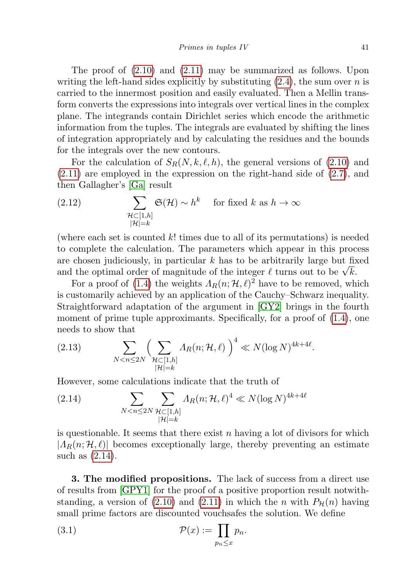The proof of [\(2.10\)](#page-3-2) and [\(2.11\)](#page-3-1) may be summarized as follows. Upon writing the left-hand sides explicitly by substituting  $(2.4)$ , the sum over n is carried to the innermost position and easily evaluated. Then a Mellin transform converts the expressions into integrals over vertical lines in the complex plane. The integrands contain Dirichlet series which encode the arithmetic information from the tuples. The integrals are evaluated by shifting the lines of integration appropriately and by calculating the residues and the bounds for the integrals over the new contours.

For the calculation of  $S_R(N, k, \ell, h)$ , the general versions of [\(2.10\)](#page-3-2) and [\(2.11\)](#page-3-1) are employed in the expression on the right-hand side of [\(2.7\)](#page-2-1), and then Gallagher's [\[Ga\]](#page-16-3) result

<span id="page-4-1"></span>(2.12) 
$$
\sum_{\substack{\mathcal{H}\subset[1,h]\\|\mathcal{H}|=k}}\mathfrak{S}(\mathcal{H})\sim h^k \quad \text{for fixed } k \text{ as } h\to\infty
$$

(where each set is counted  $k!$  times due to all of its permutations) is needed to complete the calculation. The parameters which appear in this process are chosen judiciously, in particular  $k$  has to be arbitrarily large but fixed are chosen judiciously, in particular  $\kappa$  has to be arbitrarily large but in and the optimal order of magnitude of the integer  $\ell$  turns out to be  $\sqrt{k}$ .

For a proof of [\(1.4\)](#page-0-1) the weights  $\Lambda_R(n; \mathcal{H}, \ell)^2$  have to be removed, which is customarily achieved by an application of the Cauchy–Schwarz inequality. Straightforward adaptation of the argument in [\[GY2\]](#page-16-8) brings in the fourth moment of prime tuple approximants. Specifically, for a proof of  $(1.4)$ , one needs to show that

(2.13) 
$$
\sum_{N < n \le 2N} \Biggl( \sum_{\substack{\mathcal{H} \subset [1,h] \\ |\mathcal{H}| = k}} \Lambda_R(n; \mathcal{H}, \ell) \Biggr)^4 \ll N(\log N)^{4k + 4\ell}.
$$

However, some calculations indicate that the truth of

<span id="page-4-0"></span>(2.14) 
$$
\sum_{N < n \le 2N} \sum_{\substack{\mathcal{H} \subset [1,h] \\ |\mathcal{H}| = k}} \Lambda_R(n; \mathcal{H}, \ell)^4 \ll N(\log N)^{4k + 4\ell}
$$

is questionable. It seems that there exist n having a lot of divisors for which  $|A_R(n; \mathcal{H}, \ell)|$  becomes exceptionally large, thereby preventing an estimate such as [\(2.14\)](#page-4-0).

3. The modified propositions. The lack of success from a direct use of results from [\[GPY1\]](#page-16-0) for the proof of a positive proportion result notwith-standing, a version of [\(2.10\)](#page-3-2) and [\(2.11\)](#page-3-1) in which the *n* with  $P_{\mathcal{H}}(n)$  having small prime factors are discounted vouchsafes the solution. We define

(3.1) 
$$
\mathcal{P}(x) := \prod_{p_n \leq x} p_n.
$$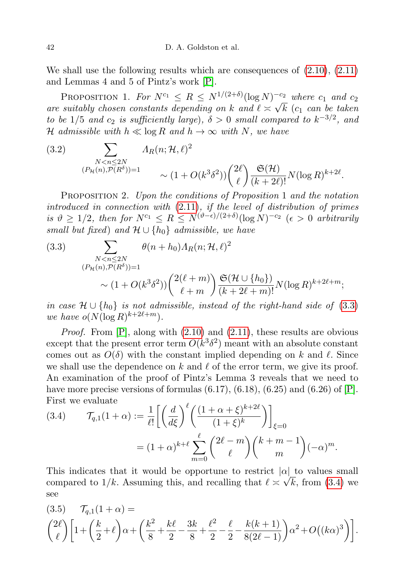We shall use the following results which are consequences of  $(2.10)$ ,  $(2.11)$ and Lemmas 4 and 5 of Pintz's work [\[P\]](#page-16-11).

PROPOSITION 1. For  $N^{c_1} \leq R \leq N^{1/(2+\delta)} (\log N)^{-c_2}$  where  $c_1$  and  $c_2$ are suitably chosen constants depending on k and  $\ell \asymp \sqrt{k}$  (c<sub>1</sub> can be taken to be 1/5 and  $c_2$  is sufficiently large),  $\delta > 0$  small compared to  $k^{-3/2}$ , and H admissible with  $h \ll \log R$  and  $h \to \infty$  with N, we have

<span id="page-5-2"></span>(3.2) 
$$
\sum_{\substack{N < n \leq 2N \\ (P_H(n), P(R^{\delta})) = 1}} A_R(n; \mathcal{H}, \ell)^2 \sim (1 + O(k^3 \delta^2)) \binom{2\ell}{\ell} \frac{\mathfrak{S}(\mathcal{H})}{(k + 2\ell)!} N(\log R)^{k + 2\ell}.
$$

Proposition 2. Upon the conditions of Proposition 1 and the notation introduced in connection with [\(2.11\)](#page-3-1), if the level of distribution of primes is  $\vartheta \geq 1/2$ , then for  $N^{c_1} \leq R \leq N^{(\vartheta - \epsilon)/(2+\delta)} (\log N)^{-c_2}$  ( $\epsilon > 0$  arbitrarily small but fixed) and  $\mathcal{H} \cup \{h_0\}$  admissible, we have

<span id="page-5-0"></span>(3.3) 
$$
\sum_{\substack{N < n \le 2N \\ (P_{\mathcal{H}}(n), P(R^{\delta})) = 1}} \theta(n + h_0) A_R(n; \mathcal{H}, \ell)^2
$$
\n
$$
\sim (1 + O(k^3 \delta^2)) \left(\frac{2(\ell + m)}{\ell + m}\right) \frac{\mathfrak{S}(\mathcal{H} \cup \{h_0\})}{(k + 2\ell + m)!} N(\log R)^{k + 2\ell + m};
$$

in case  $\mathcal{H} \cup \{h_0\}$  is not admissible, instead of the right-hand side of [\(3.3\)](#page-5-0) we have  $o(N(\log R)^{k+2\ell+m})$ .

*Proof.* From  $[P]$ , along with  $(2.10)$  and  $(2.11)$ , these results are obvious except that the present error term  $O(k^3 \delta^2)$  meant with an absolute constant comes out as  $O(\delta)$  with the constant implied depending on k and  $\ell$ . Since we shall use the dependence on k and  $\ell$  of the error term, we give its proof. An examination of the proof of Pintz's Lemma 3 reveals that we need to have more precise versions of formulas  $(6.17)$ ,  $(6.18)$ ,  $(6.25)$  and  $(6.26)$  of  $[P]$ . First we evaluate

<span id="page-5-1"></span>(3.4) 
$$
\mathcal{T}_{q,1}(1+\alpha) := \frac{1}{\ell!} \left[ \left( \frac{d}{d\xi} \right)^{\ell} \left( \frac{(1+\alpha+\xi)^{k+2\ell}}{(1+\xi)^{k}} \right) \right]_{\xi=0}
$$

$$
= (1+\alpha)^{k+\ell} \sum_{m=0}^{\ell} {2\ell-m \choose \ell} {k+m-1 \choose m} (-\alpha)^{m}.
$$

This indicates that it would be opportune to restrict  $|\alpha|$  to values small compared to  $1/k$ . Assuming this, and recalling that  $\ell \approx \sqrt{k}$ , from [\(3.4\)](#page-5-1) we see

<span id="page-5-3"></span>
$$
(3.5) \quad \mathcal{T}_{q,1}(1+\alpha) =
$$
  

$$
{2\ell \choose \ell} \left[1 + \left(\frac{k}{2} + \ell\right)\alpha + \left(\frac{k^2}{8} + \frac{k\ell}{2} - \frac{3k}{8} + \frac{\ell^2}{2} - \frac{\ell}{2} - \frac{k(k+1)}{8(2\ell-1)}\right)\alpha^2 + O((k\alpha)^3)\right].
$$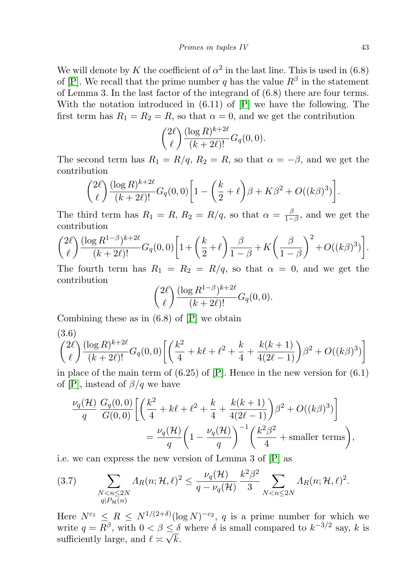We will denote by K the coefficient of  $\alpha^2$  in the last line. This is used in (6.8) of [\[P\]](#page-16-11). We recall that the prime number q has the value  $R^{\beta}$  in the statement of Lemma 3. In the last factor of the integrand of (6.8) there are four terms. With the notation introduced in  $(6.11)$  of  $[P]$  we have the following. The first term has  $R_1 = R_2 = R$ , so that  $\alpha = 0$ , and we get the contribution

$$
\binom{2\ell}{\ell} \frac{(\log R)^{k+2\ell}}{(k+2\ell)!} G_q(0,0).
$$

The second term has  $R_1 = R/q$ ,  $R_2 = R$ , so that  $\alpha = -\beta$ , and we get the contribution

$$
{2\ell \choose \ell} \frac{(\log R)^{k+2\ell}}{(k+2\ell)!} G_q(0,0) \bigg[1 - \bigg(\frac{k}{2} + \ell\bigg)\beta + K\beta^2 + O((k\beta)^3)\bigg].
$$

The third term has  $R_1 = R$ ,  $R_2 = R/q$ , so that  $\alpha = \frac{\beta}{1-q}$  $\frac{\beta}{1-\beta}$ , and we get the contribution

$$
\binom{2\ell}{\ell} \frac{(\log R^{1-\beta})^{k+2\ell}}{(k+2\ell)!} G_q(0,0) \left[ 1 + \left( \frac{k}{2} + \ell \right) \frac{\beta}{1-\beta} + K \left( \frac{\beta}{1-\beta} \right)^2 + O((k\beta)^3) \right].
$$

The fourth term has  $R_1 = R_2 = R/q$ , so that  $\alpha = 0$ , and we get the contribution

$$
\binom{2\ell}{\ell} \frac{(\log R^{1-\beta})^{k+2\ell}}{(k+2\ell)!} G_q(0,0).
$$

Combining these as in  $(6.8)$  of  $[P]$  we obtain

<span id="page-6-0"></span>
$$
\binom{2\ell}{\ell} \frac{(\log R)^{k+2\ell}}{(k+2\ell)!} G_q(0,0) \left[ \left( \frac{k^2}{4} + k\ell + \ell^2 + \frac{k}{4} + \frac{k(k+1)}{4(2\ell-1)} \right) \beta^2 + O((k\beta)^3) \right]
$$

in place of the main term of  $(6.25)$  of  $[P]$ . Hence in the new version for  $(6.1)$ of [\[P\]](#page-16-11), instead of  $\beta/q$  we have

$$
\frac{\nu_q(\mathcal{H})}{q} \frac{G_q(0,0)}{G(0,0)} \left[ \left( \frac{k^2}{4} + k\ell + \ell^2 + \frac{k}{4} + \frac{k(k+1)}{4(2\ell - 1)} \right) \beta^2 + O((k\beta)^3) \right]
$$
  
=  $\frac{\nu_q(\mathcal{H})}{q} \left( 1 - \frac{\nu_q(\mathcal{H})}{q} \right)^{-1} \left( \frac{k^2 \beta^2}{4} + \text{smaller terms} \right),$ 

i.e. we can express the new version of Lemma 3 of [\[P\]](#page-16-11) as

$$
(3.7) \qquad \sum_{\substack{N < n \le 2N \\ q|P_{\mathcal{H}}(n)}} \Lambda_R(n; \mathcal{H}, \ell)^2 \le \frac{\nu_q(\mathcal{H})}{q - \nu_q(\mathcal{H})} \frac{k^2 \beta^2}{3} \sum_{N < n \le 2N} \Lambda_R(n; \mathcal{H}, \ell)^2.
$$

Here  $N^{c_1} \leq R \leq N^{1/(2+\delta)} (\log N)^{-c_2}$ , q is a prime number for which we write  $q = R^{\beta}$ , with  $0 < \beta \leq \delta$  where  $\delta$  is small compared to  $k^{-3/2}$  say, k is sufficiently large, and  $\ell \asymp \sqrt{k}$ .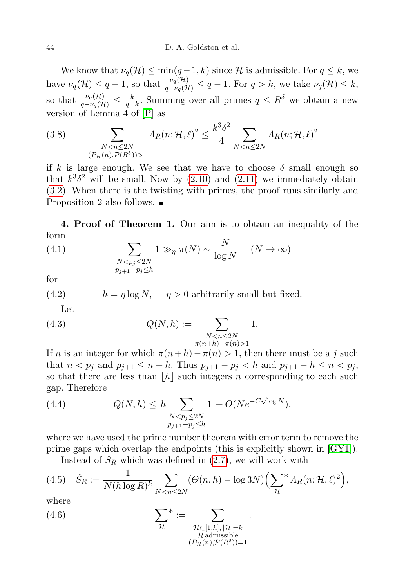We know that  $\nu_q(\mathcal{H}) \le \min(q-1,k)$  since H is admissible. For  $q \le k$ , we have  $\nu_q(\mathcal{H}) \leq q-1$ , so that  $\frac{\nu_q(\mathcal{H})}{q-\nu_q(\mathcal{H})} \leq q-1$ . For  $q > k$ , we take  $\nu_q(\mathcal{H}) \leq k$ , so that  $\frac{\nu_q(\mathcal{H})}{q-\nu_q(\mathcal{H})} \leq \frac{k}{q-k}$ . Summing over all primes  $q \leq R^{\delta}$  we obtain a new version of Lemma 4 of [\[P\]](#page-16-11) as

<span id="page-7-3"></span>(3.8) 
$$
\sum_{\substack{N < n \le 2N \\ (P_H(n), P(R^{\delta})) > 1}} \Lambda_R(n; \mathcal{H}, \ell)^2 \le \frac{k^3 \delta^2}{4} \sum_{N < n \le 2N} \Lambda_R(n; \mathcal{H}, \ell)^2
$$

if k is large enough. We see that we have to choose  $\delta$  small enough so that  $k^3\delta^2$  will be small. Now by [\(2.10\)](#page-3-2) and [\(2.11\)](#page-3-1) we immediately obtain [\(3.2\)](#page-5-2). When there is the twisting with primes, the proof runs similarly and Proposition 2 also follows. ■

4. Proof of Theorem 1. Our aim is to obtain an inequality of the form

(4.1) 
$$
\sum_{\substack{N < p_j \leq 2N \\ p_{j+1} - p_j \leq h}} 1 \gg_{\eta} \pi(N) \sim \frac{N}{\log N} \quad (N \to \infty)
$$

for

(4.2) 
$$
h = \eta \log N, \quad \eta > 0 \text{ arbitrarily small but fixed.}
$$

<span id="page-7-2"></span>Let

(4.3) 
$$
Q(N, h) := \sum_{\substack{N < n \le 2N \\ \pi(n+h) - \pi(n) > 1}} 1.
$$

If n is an integer for which  $\pi(n+h)-\pi(n) > 1$ , then there must be a j such that  $n < p_j$  and  $p_{j+1} \le n + h$ . Thus  $p_{j+1} - p_j < h$  and  $p_{j+1} - h \le n < p_j$ , so that there are less than  $|h|$  such integers n corresponding to each such gap. Therefore

<span id="page-7-1"></span>(4.4) 
$$
Q(N, h) \leq h \sum_{\substack{N < p_j \leq 2N \\ p_{j+1} - p_j \leq h}} 1 + O(N e^{-C\sqrt{\log N}}),
$$

where we have used the prime number theorem with error term to remove the prime gaps which overlap the endpoints (this is explicitly shown in [\[GY1\]](#page-16-12)).

<span id="page-7-0"></span>Instead of  $S_R$  which was defined in  $(2.7)$ , we will work with

(4.5) 
$$
\tilde{S}_R := \frac{1}{N(h \log R)^k} \sum_{N < n \le 2N} (\Theta(n, h) - \log 3N) \left( \sum_{\mathcal{H}}^* \Lambda_R(n; \mathcal{H}, \ell)^2 \right),
$$
\nwhere

.

where

(4.6) 
$$
\sum_{\mathcal{H}}^* := \sum_{\substack{\mathcal{H} \subset [1,h], |\mathcal{H}| = k \ \mathcal{H} \text{admissible} \\ (\mathcal{P}_{\mathcal{H}}(n), \mathcal{P}(R^{\delta})) = 1}} \sum_{\substack{\mathcal{H} \subset [1,h], |\mathcal{H}| = k}} \sum_{\substack{\mathcal{H} \text{admissible} \\ (\mathcal{P}_{\mathcal{H}}(n), \mathcal{P}(R^{\delta})) = 1}} \mathcal{H} \sum_{\substack{\mathcal{H} \text{admissible} \\ (\mathcal{H}^{1}, \mathcal{H}^{2}) = 1}} \mathcal{H} \sum_{\substack{\mathcal{H} \text{admissible} \\ (\mathcal{H}^{1}, \mathcal{H}^{1}) = 1}} \mathcal{H} \sum_{\substack{\mathcal{H} \text{admissible} \\ (\mathcal{H}^{2}, \mathcal{H}^{2}) = 1}} \mathcal{H} \sum_{\substack{\mathcal{H} \text{admissible} \\ (\mathcal{H}^{1}, \mathcal{H}^{1}) = 1}} \mathcal{H} \sum_{\substack{\mathcal{H} \text{admissible} \\ (\mathcal{H}^{1}, \mathcal{H}^{2}) = 1}} \mathcal{H} \sum_{\substack{\mathcal{H} \text{admissible} \\ (\mathcal{H}^{1}, \mathcal{H}^{1}) = 1}} \mathcal{H} \sum_{\substack{\mathcal{H} \text{admissible} \\ (\mathcal{H}^{1}, \mathcal{H}^{2}) = 1}} \mathcal{H} \sum_{\substack{\mathcal{H} \text{admissible} \\ (\mathcal{H}^{1}, \mathcal{H}^{1}) = 1}} \mathcal{H} \sum_{\substack{\mathcal{H} \text{admissible} \\ (\mathcal{H}^{1}, \mathcal{H}^{1}) = 1}} \mathcal{H} \sum_{\substack{\mathcal{H} \text{admissible} \\ (\mathcal{H}^{1}, \mathcal{H}^{1}) = 1}} \mathcal{H} \sum_{\substack{\mathcal{H} \text{admissible} \\ (\mathcal{H}^{1}, \mathcal{H}^{1}) = 1}} \mathcal{H} \sum_{\substack{\mathcal{H} \text{admissible} \\ (\mathcal{H}^{1}, \mathcal{H}^{1}) = 1}} \mathcal{H} \sum_{\substack{\mathcal{H} \text{admissible} \\ (\mathcal{H}^{1
$$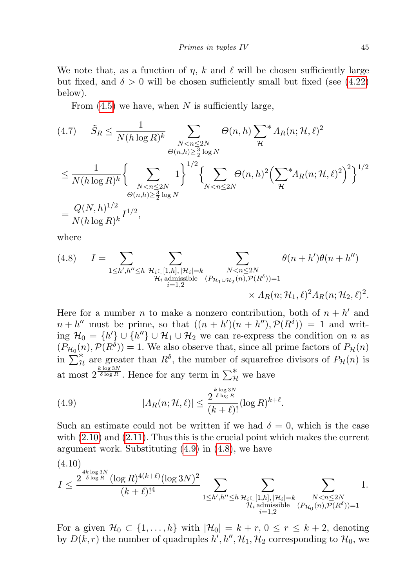We note that, as a function of  $\eta$ , k and  $\ell$  will be chosen sufficiently large but fixed, and  $\delta > 0$  will be chosen sufficiently small but fixed (see [\(4.22\)](#page-10-0) below).

From  $(4.5)$  we have, when N is sufficiently large,

<span id="page-8-3"></span>
$$
(4.7) \quad \tilde{S}_R \leq \frac{1}{N(h \log R)^k} \sum_{\substack{N < n \leq 2N \\ \Theta(n,h) \geq \frac{3}{2} \log N}} \Theta(n,h) \sum_{\mathcal{H}}^* \Lambda_R(n;\mathcal{H},\ell)^2
$$
\n
$$
\leq \frac{1}{N(h \log R)^k} \Biggl\{ \sum_{\substack{N < n \leq 2N \\ \Theta(n,h) \geq \frac{3}{2} \log N}} 1 \Biggr\}^{1/2} \Biggl\{ \sum_{N < n \leq 2N} \Theta(n,h)^2 \Bigl( \sum_{\mathcal{H}}^* \Lambda_R(n;\mathcal{H},\ell)^2 \Bigr)^2 \Biggr\}^{1/2}
$$
\n
$$
= \frac{Q(N,h)^{1/2}}{N(h \log R)^k} I^{1/2},
$$

where

<span id="page-8-1"></span>(4.8) 
$$
I = \sum_{\substack{1 \le h', h'' \le h \\ \mathcal{H}_i \text{ admissible} \\ i=1,2}} \sum_{\substack{N < n \le 2N \\ (\mathcal{P}_{\mathcal{H}_1 \cup \mathcal{H}_2}(n), \mathcal{P}(R^{\delta})) = 1}} \theta(n + h')\theta(n + h'')
$$
\n
$$
\times \Lambda_R(n; \mathcal{H}_1, \ell)^2 \Lambda_R(n; \mathcal{H}_2, \ell)^2.
$$

Here for a number *n* to make a nonzero contribution, both of  $n + h'$  and  $n + h''$  must be prime, so that  $((n + h')(n + h''), \mathcal{P}(R^{\delta})) = 1$  and writing  $\mathcal{H}_0 = \{h'\} \cup \{h''\} \cup \mathcal{H}_1 \cup \mathcal{H}_2$  we can re-express the condition on n as  $(P_{\mathcal{H}_0}(n), \mathcal{P}(R^{\delta})) = 1$ . We also observe that, since all prime factors of  $P_{\mathcal{H}}(n)$ in  $\sum_{\mathcal{H}}^*$  are greater than  $R^{\delta}$ , the number of squarefree divisors of  $P_{\mathcal{H}}(n)$  is at most  $2^{\frac{k \log 3N}{\delta \log R}}$ . Hence for any term in  $\sum_{\mathcal{H}}^*$  we have

<span id="page-8-0"></span>(4.9) 
$$
|A_R(n; \mathcal{H}, \ell)| \leq \frac{2^{\frac{k \log 3N}{\delta \log R}}}{(k+\ell)!} (\log R)^{k+\ell}.
$$

Such an estimate could not be written if we had  $\delta = 0$ , which is the case with [\(2.10\)](#page-3-2) and [\(2.11\)](#page-3-1). Thus this is the crucial point which makes the current argument work. Substituting [\(4.9\)](#page-8-0) in [\(4.8\)](#page-8-1), we have

<span id="page-8-2"></span>
$$
(4.10)
$$
\n
$$
I \leq \frac{2^{\frac{4k \log 3N}{\delta \log R}} (\log R)^{4(k+\ell)} (\log 3N)^2}{(k+\ell)!^4} \sum_{\substack{1 \leq h', h'' \leq h \\ h_i \text{ admissible}}} \sum_{\substack{\{P_i, P_i \subseteq [1,h], |\mathcal{H}_i| = k \\ \mathcal{H}_i \text{ admissible} \\ i=1,2}} 1.
$$

For a given  $\mathcal{H}_0 \subset \{1,\ldots,h\}$  with  $|\mathcal{H}_0| = k+r, 0 \leq r \leq k+2$ , denoting by  $D(k,r)$  the number of quadruples  $h', h'', \mathcal{H}_1, \mathcal{H}_2$  corresponding to  $\mathcal{H}_0$ , we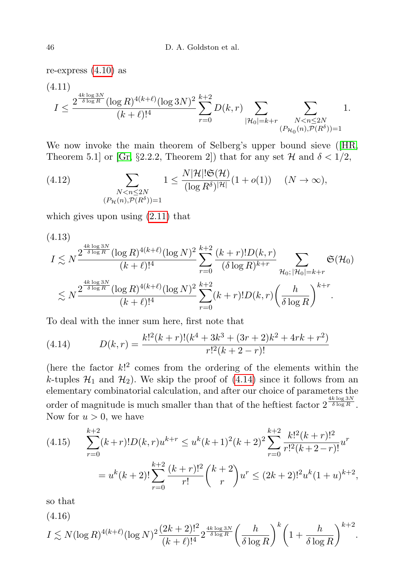re-express  $(4.10)$  as

$$
(4.11)
$$
  

$$
I \le \frac{2^{\frac{4k \log 3N}{\delta \log R}} (\log R)^{4(k+\ell)} (\log 3N)^2}{(k+\ell)!^4} \sum_{r=0}^{k+2} D(k,r) \sum_{|\mathcal{H}_0|=k+r} \sum_{\substack{N \le n \le 2N \\ (P_{\mathcal{H}_0}(n), \mathcal{P}(R^{\delta}))=1}} 1.
$$

We now invoke the main theorem of Selberg's upper bound sieve ([\[HR,](#page-16-13) Theorem 5.1] or [\[Gr,](#page-16-14) §2.2.2, Theorem 2]) that for any set  $H$  and  $\delta < 1/2$ ,

(4.12) 
$$
\sum_{\substack{N < n \le 2N \\ (P_{\mathcal{H}}(n), \mathcal{P}(R^{\delta})) = 1}} 1 \le \frac{N |\mathcal{H}| |\mathfrak{S}(\mathcal{H})}{(\log R^{\delta})^{|\mathcal{H}|}} (1 + o(1)) \quad (N \to \infty),
$$

which gives upon using [\(2.11\)](#page-3-1) that

<span id="page-9-2"></span>
$$
(4.13)
$$
\n
$$
I \lesssim N^{\frac{4k \log 3N}{\delta \log R}} (\log R)^{4(k+\ell)} (\log N)^2 \sum_{r=0}^{k+2} \frac{(k+r)! D(k,r)}{(\delta \log R)^{k+r}} \sum_{\mathcal{H}_0; |\mathcal{H}_0| = k+r} \mathfrak{S}(\mathcal{H}_0)
$$
\n
$$
\lesssim N^{\frac{4k \log 3N}{\delta \log R}} (\log R)^{4(k+\ell)} (\log N)^2 \sum_{r=0}^{k+2} (k+r)! D(k,r) \left(\frac{h}{\delta \log R}\right)^{k+r}.
$$

To deal with the inner sum here, first note that

<span id="page-9-0"></span>(4.14) 
$$
D(k,r) = \frac{k!^2(k+r)!(k^4+3k^3+(3r+2)k^2+4rk+r^2)}{r!^2(k+2-r)!}
$$

(here the factor  $k$ !<sup>2</sup> comes from the ordering of the elements within the k-tuples  $\mathcal{H}_1$  and  $\mathcal{H}_2$ ). We skip the proof of [\(4.14\)](#page-9-0) since it follows from an elementary combinatorial calculation, and after our choice of parameters the order of magnitude is much smaller than that of the heftiest factor  $2^{\frac{4k \log 3N}{\delta \log R}}$ . Now for  $u > 0$ , we have

<span id="page-9-3"></span>
$$
(4.15) \qquad \sum_{r=0}^{k+2} (k+r)! D(k,r) u^{k+r} \leq u^k (k+1)^2 (k+2)^2 \sum_{r=0}^{k+2} \frac{k!^2 (k+r)!^2}{r!^2 (k+2-r)!} u^r
$$

$$
= u^k (k+2)! \sum_{r=0}^{k+2} \frac{(k+r)!^2}{r!} {k+2 \choose r} u^r \leq (2k+2)!^2 u^k (1+u)^{k+2},
$$

so that

(4.16)

<span id="page-9-1"></span>
$$
I \lesssim N(\log R)^{4(k+\ell)}(\log N)^2 \frac{(2k+2)!^2}{(k+\ell)!^4} 2^{\frac{4k\log 3N}{\delta \log R}} \left(\frac{h}{\delta \log R}\right)^k \left(1+\frac{h}{\delta \log R}\right)^{k+2}.
$$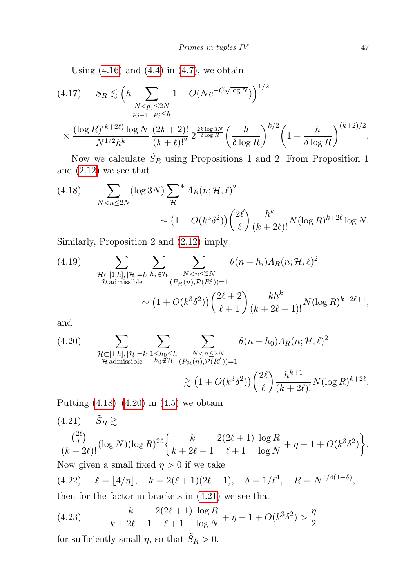Using  $(4.16)$  and  $(4.4)$  in  $(4.7)$ , we obtain

<span id="page-10-4"></span>
$$
(4.17) \quad \tilde{S}_R \lesssim \left( h \sum_{\substack{N < p_j \le 2N \\ p_{j+1} - p_j \le h}} 1 + O(N e^{-C\sqrt{\log N}}) \right)^{1/2} \times \frac{(\log R)^{(k+2\ell)} \log N}{N^{1/2} h^k} \frac{(2k+2)!}{(k+\ell)!^2} 2^{\frac{2k \log 3N}{\delta \log R}} \left( \frac{h}{\delta \log R} \right)^{k/2} \left( 1 + \frac{h}{\delta \log R} \right)^{(k+2)/2}.
$$

Now we calculate  $\tilde{S}_R$  using Propositions 1 and 2. From Proposition 1 and [\(2.12\)](#page-4-1) we see that

<span id="page-10-1"></span>(4.18) 
$$
\sum_{N < n \le 2N} (\log 3N) \sum_{\mathcal{H}}^* \Lambda_R(n; \mathcal{H}, \ell)^2
$$
\n
$$
\sim \left(1 + O(k^3 \delta^2)\right) \binom{2\ell}{\ell} \frac{h^k}{(k+2\ell)!} N(\log R)^{k+2\ell} \log N.
$$

Similarly, Proposition 2 and [\(2.12\)](#page-4-1) imply

(4.19) 
$$
\sum_{\substack{\mathcal{H} \subset [1,h], |\mathcal{H}| = k \\ \mathcal{H} \text{admissible}}} \sum_{\substack{h_i \in \mathcal{H} \\ (P_{\mathcal{H}}(n), \mathcal{P}(R^{\delta})) = 1}} \theta(n+h_i) \Lambda_R(n; \mathcal{H}, \ell)^2
$$

$$
\sim (1 + O(k^3 \delta^2)) \left(\frac{2\ell+2}{\ell+1}\right) \frac{k h^k}{(k+2\ell+1)!} N(\log R)^{k+2\ell+1},
$$

and

<span id="page-10-2"></span>(4.20) 
$$
\sum_{\substack{\mathcal{H}\subset[1,h], |\mathcal{H}|=k \\ \mathcal{H} \text{admissible}}} \sum_{\substack{1\leq h_0\leq h\\ h_0\notin \mathcal{H}}} \sum_{\substack{N
$$
\gtrsim \left(1+O(k^3\delta^2)\right) \binom{2\ell}{\ell} \frac{h^{k+1}}{(k+2\ell)!} N(\log R)^{k+2\ell}.
$$
$$

Putting  $(4.18)–(4.20)$  $(4.18)–(4.20)$  $(4.18)–(4.20)$  in  $(4.5)$  we obtain

<span id="page-10-3"></span>(4.21) 
$$
\tilde{S}_R \gtrsim
$$
  
\n $\frac{\binom{2\ell}{\ell}}{(k+2\ell)!} (\log N)(\log R)^{2\ell} \left\{ \frac{k}{k+2\ell+1} \frac{2(2\ell+1)}{\ell+1} \frac{\log R}{\log N} + \eta - 1 + O(k^3 \delta^2) \right\}.$   
\nNow given a small fixed  $\eta > 0$  if we take  
\n(4.22)  $\ell = \lfloor 4/\eta \rfloor, \quad k = 2(\ell+1)(2\ell+1), \quad \delta = 1/\ell^4, \quad R = N^{1/4(1+\delta)},$ 

<span id="page-10-0"></span>then for the factor in brackets in [\(4.21\)](#page-10-3) we see that

<span id="page-10-5"></span>(4.23) 
$$
\frac{k}{k+2\ell+1} \frac{2(2\ell+1)}{\ell+1} \frac{\log R}{\log N} + \eta - 1 + O(k^3 \delta^2) > \frac{\eta}{2}
$$

for sufficiently small  $\eta,$  so that  $\tilde{S}_R>0.$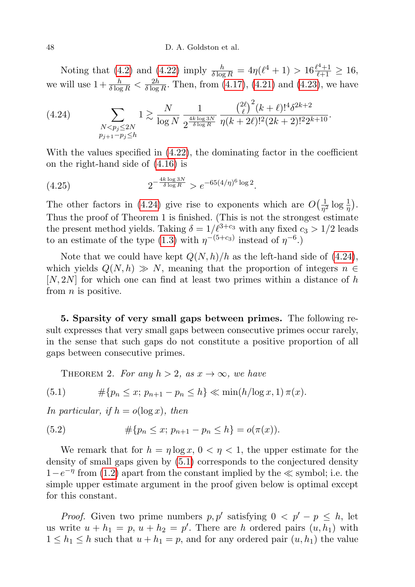Noting that [\(4.2\)](#page-7-2) and [\(4.22\)](#page-10-0) imply  $\frac{h}{\delta \log R} = 4\eta(\ell^4 + 1) > 16\frac{\ell^4 + 1}{\ell + 1} \ge 16$ , we will use  $1 + \frac{h}{\delta \log R} < \frac{2h}{\delta \log h}$  $\frac{2h}{\delta \log R}$ . Then, from [\(4.17\)](#page-10-4), [\(4.21\)](#page-10-3) and [\(4.23\)](#page-10-5), we have

<span id="page-11-0"></span>(4.24) 
$$
\sum_{\substack{N < p_j \leq 2N \\ p_{j+1} - p_j \leq h}} 1 \gtrsim \frac{N}{\log N} \frac{1}{2^{\frac{4k \log 3N}{\delta \log R}}} \frac{\left(\frac{2\ell}{\ell}\right)^2 (k+\ell)!^4 \delta^{2k+2}}{\eta (k+2\ell)!^2 (2k+2)!^2 2^{k+10}}.
$$

With the values specified in [\(4.22\)](#page-10-0), the dominating factor in the coefficient on the right-hand side of [\(4.16\)](#page-9-1) is

(4.25) 
$$
2^{-\frac{4k\log 3N}{\delta\log R}} > e^{-65(4/\eta)^6\log 2}.
$$

The other factors in [\(4.24\)](#page-11-0) give rise to exponents which are  $O(\frac{1}{n})$  $rac{1}{\eta^2} \log \frac{1}{\eta}$ . Thus the proof of Theorem 1 is finished. (This is not the strongest estimate the present method yields. Taking  $\delta = 1/\ell^{3+c_3}$  with any fixed  $c_3 > 1/2$  leads to an estimate of the type [\(1.3\)](#page-0-2) with  $\eta^{-(5+c_3)}$  instead of  $\eta^{-6}$ .

Note that we could have kept  $Q(N, h)/h$  as the left-hand side of [\(4.24\)](#page-11-0), which yields  $Q(N, h) \gg N$ , meaning that the proportion of integers  $n \in$  $[N, 2N]$  for which one can find at least two primes within a distance of h from  $n$  is positive.

5. Sparsity of very small gaps between primes. The following result expresses that very small gaps between consecutive primes occur rarely, in the sense that such gaps do not constitute a positive proportion of all gaps between consecutive primes.

<span id="page-11-1"></span>THEOREM 2. For any  $h > 2$ , as  $x \to \infty$ , we have

(5.1) 
$$
\#\{p_n \le x; \ p_{n+1} - p_n \le h\} \ll \min(h/\log x, 1) \pi(x).
$$

In particular, if  $h = o(\log x)$ , then

(5.2) 
$$
\#\{p_n \le x; \ p_{n+1} - p_n \le h\} = o(\pi(x)).
$$

We remark that for  $h = \eta \log x$ ,  $0 < \eta < 1$ , the upper estimate for the density of small gaps given by [\(5.1\)](#page-11-1) corresponds to the conjectured density  $1-e^{-\eta}$  from [\(1.2\)](#page-0-3) apart from the constant implied by the  $\ll$  symbol; i.e. the simple upper estimate argument in the proof given below is optimal except for this constant.

*Proof.* Given two prime numbers  $p, p'$  satisfying  $0 < p' - p \le h$ , let us write  $u + h_1 = p$ ,  $u + h_2 = p'$ . There are h ordered pairs  $(u, h_1)$  with  $1 \leq h_1 \leq h$  such that  $u + h_1 = p$ , and for any ordered pair  $(u, h_1)$  the value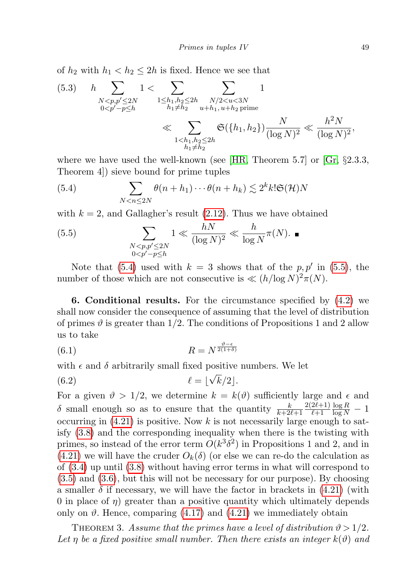of  $h_2$  with  $h_1 < h_2 \leq 2h$  is fixed. Hence we see that

$$
(5.3) \t h \sum_{\substack{N < p, p' \leq 2N \\ 0 < p' - p \leq h}} 1 < \sum_{\substack{1 \leq h_1, h_2 \leq 2h \\ h_1 \neq h_2}} \sum_{\substack{N/2 < u < 3N \\ u + h_1, u + h_2 \text{ prime} \\ \text{with } h_1 \neq h_2}} 1
$$
\n
$$
\ll \sum_{\substack{1 < h_1, h_2 \leq 2h \\ h_1 \neq h_2}} \mathfrak{S}(\{h_1, h_2\}) \frac{N}{(\log N)^2} \ll \frac{h^2 N}{(\log N)^2},
$$

where we have used the well-known (see  $[HR, Theorem 5.7]$  $[HR, Theorem 5.7]$  or  $[Gr, §2.3.3]$  $[Gr, §2.3.3]$ , Theorem 4]) sieve bound for prime tuples

<span id="page-12-0"></span>(5.4) 
$$
\sum_{N < n \leq 2N} \theta(n+h_1) \cdots \theta(n+h_k) \lesssim 2^k k! \mathfrak{S}(\mathcal{H}) N
$$

with  $k = 2$ , and Gallagher's result  $(2.12)$ . Thus we have obtained

<span id="page-12-1"></span>
$$
(5.5) \qquad \qquad \sum_{\substack{N < p, p' \le 2N \\ 0 < p' - p \le h}} 1 \ll \frac{hN}{(\log N)^2} \ll \frac{h}{\log N} \pi(N). \quad \blacksquare
$$

Note that [\(5.4\)](#page-12-0) used with  $k = 3$  shows that of the p, p' in [\(5.5\)](#page-12-1), the number of those which are not consecutive is  $\ll (h/\log N)^2 \pi(N)$ .

6. Conditional results. For the circumstance specified by [\(4.2\)](#page-7-2) we shall now consider the consequence of assuming that the level of distribution of primes  $\vartheta$  is greater than 1/2. The conditions of Propositions 1 and 2 allow us to take

$$
(6.1)\t\t R = N^{\frac{\vartheta - \epsilon}{2(1+\delta)}}
$$

with  $\epsilon$  and  $\delta$  arbitrarily small fixed positive numbers. We let

(6.2) ` = b k/2c.

For a given  $\vartheta > 1/2$ , we determine  $k = k(\vartheta)$  sufficiently large and  $\epsilon$  and  $\delta$  small enough so as to ensure that the quantity  $\frac{k}{k+2\ell+1}$  $2(2\ell+1)$  $\ell+1$  $\frac{\log R}{\log N} - 1$ occurring in  $(4.21)$  is positive. Now k is not necessarily large enough to satisfy [\(3.8\)](#page-7-3) and the corresponding inequality when there is the twisting with primes, so instead of the error term  $O(k^3 \delta^2)$  in Propositions 1 and 2, and in  $(4.21)$  we will have the cruder  $O_k(\delta)$  (or else we can re-do the calculation as of [\(3.4\)](#page-5-1) up until [\(3.8\)](#page-7-3) without having error terms in what will correspond to [\(3.5\)](#page-5-3) and [\(3.6\)](#page-6-0), but this will not be necessary for our purpose). By choosing a smaller  $\delta$  if necessary, we will have the factor in brackets in  $(4.21)$  (with 0 in place of  $\eta$ ) greater than a positive quantity which ultimately depends only on  $\vartheta$ . Hence, comparing [\(4.17\)](#page-10-4) and [\(4.21\)](#page-10-3) we immediately obtain

THEOREM 3. Assume that the primes have a level of distribution  $\vartheta > 1/2$ . Let  $\eta$  be a fixed positive small number. Then there exists an integer  $k(\vartheta)$  and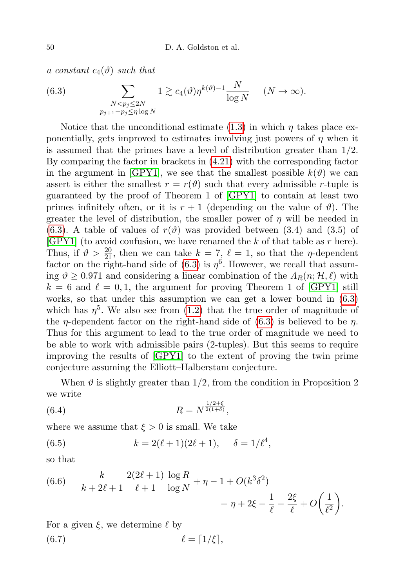a constant  $c_4(\vartheta)$  such that

<span id="page-13-0"></span>(6.3) 
$$
\sum_{\substack{N < p_j \leq 2N \\ p_{j+1} - p_j \leq \eta \log N}} 1 \gtrsim c_4(\vartheta) \eta^{k(\vartheta)-1} \frac{N}{\log N} \quad (N \to \infty).
$$

Notice that the unconditional estimate  $(1.3)$  in which  $\eta$  takes place exponentially, gets improved to estimates involving just powers of  $\eta$  when it is assumed that the primes have a level of distribution greater than  $1/2$ . By comparing the factor in brackets in [\(4.21\)](#page-10-3) with the corresponding factor in the argument in  $\text{[GPY1]}$  $\text{[GPY1]}$  $\text{[GPY1]}$ , we see that the smallest possible  $k(\vartheta)$  we can assert is either the smallest  $r = r(\theta)$  such that every admissible r-tuple is guaranteed by the proof of Theorem 1 of [\[GPY1\]](#page-16-0) to contain at least two primes infinitely often, or it is  $r + 1$  (depending on the value of  $\vartheta$ ). The greater the level of distribution, the smaller power of  $\eta$  will be needed in [\(6.3\)](#page-13-0). A table of values of  $r(\vartheta)$  was provided between (3.4) and (3.5) of [\[GPY1\]](#page-16-0) (to avoid confusion, we have renamed the  $k$  of that table as  $r$  here). Thus, if  $\vartheta > \frac{20}{21}$ , then we can take  $k = 7, \ell = 1$ , so that the *n*-dependent factor on the right-hand side of  $(6.3)$  is  $\eta^6$ . However, we recall that assuming  $\vartheta \geq 0.971$  and considering a linear combination of the  $\Lambda_R(n; \mathcal{H}, \ell)$  with  $k = 6$  and  $\ell = 0, 1$ , the argument for proving Theorem 1 of [\[GPY1\]](#page-16-0) still works, so that under this assumption we can get a lower bound in [\(6.3\)](#page-13-0) which has  $\eta^5$ . We also see from [\(1.2\)](#page-0-3) that the true order of magnitude of the *η*-dependent factor on the right-hand side of  $(6.3)$  is believed to be *η*. Thus for this argument to lead to the true order of magnitude we need to be able to work with admissible pairs (2-tuples). But this seems to require improving the results of [\[GPY1\]](#page-16-0) to the extent of proving the twin prime conjecture assuming the Elliott–Halberstam conjecture.

When  $\vartheta$  is slightly greater than 1/2, from the condition in Proposition 2 we write

<span id="page-13-2"></span>(6.4) 
$$
R = N^{\frac{1/2+\xi}{2(1+\delta)}},
$$

where we assume that  $\xi > 0$  is small. We take

<span id="page-13-3"></span>(6.5) 
$$
k = 2(\ell + 1)(2\ell + 1), \quad \delta = 1/\ell^4,
$$

so that

<span id="page-13-1"></span>(6.6) 
$$
\frac{k}{k+2\ell+1} \frac{2(2\ell+1)}{\ell+1} \frac{\log R}{\log N} + \eta - 1 + O(k^3 \delta^2)
$$

$$
= \eta + 2\xi - \frac{1}{\ell} - \frac{2\xi}{\ell} + O\left(\frac{1}{\ell^2}\right).
$$

For a given  $\xi$ , we determine  $\ell$  by

<span id="page-13-4"></span>
$$
(6.7) \t\t \t\t \ell = \lceil 1/\xi \rceil,
$$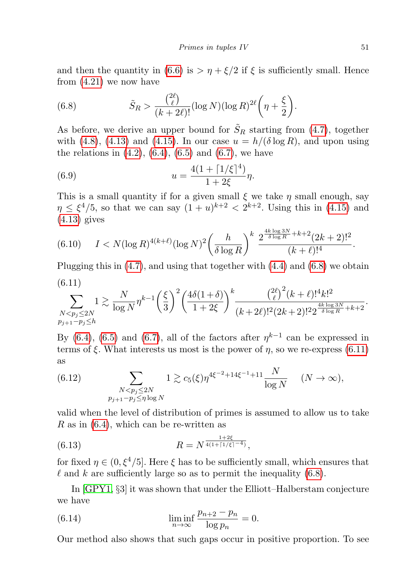and then the quantity in [\(6.6\)](#page-13-1) is  $> \eta + \xi/2$  if  $\xi$  is sufficiently small. Hence from [\(4.21\)](#page-10-3) we now have

<span id="page-14-0"></span>(6.8) 
$$
\tilde{S}_R > \frac{\binom{2\ell}{\ell}}{(k+2\ell)!} (\log N)(\log R)^{2\ell} \left(\eta + \frac{\xi}{2}\right).
$$

As before, we derive an upper bound for  $\tilde{S}_R$  starting from [\(4.7\)](#page-8-3), together with [\(4.8\)](#page-8-1), [\(4.13\)](#page-9-2) and [\(4.15\)](#page-9-3). In our case  $u = h/(\delta \log R)$ , and upon using the relations in  $(4.2)$ ,  $(6.4)$ ,  $(6.5)$  and  $(6.7)$ , we have

<span id="page-14-3"></span>(6.9) 
$$
u = \frac{4(1 + \lceil 1/\xi \rceil^4)}{1 + 2\xi} \eta.
$$

This is a small quantity if for a given small  $\xi$  we take  $\eta$  small enough, say  $\eta \leq \xi^4/5$ , so that we can say  $(1+u)^{k+2} < 2^{k+2}$ . Using this in [\(4.15\)](#page-9-3) and  $(4.13)$  gives

<span id="page-14-4"></span>
$$
(6.10) \qquad I < N(\log R)^{4(k+\ell)}(\log N)^2 \left(\frac{h}{\delta \log R}\right)^k \frac{2^{\frac{4k \log 3N}{\delta \log R} + k + 2} (2k+2)!^2}{(k+\ell)!^4}.
$$

<span id="page-14-1"></span>Plugging this in  $(4.7)$ , and using that together with  $(4.4)$  and  $(6.8)$  we obtain (6.11)

$$
\sum_{\substack{N
$$

By [\(6.4\)](#page-13-2), [\(6.5\)](#page-13-3) and [\(6.7\)](#page-13-4), all of the factors after  $\eta^{k-1}$  can be expressed in terms of  $\xi$ . What interests us most is the power of  $\eta$ , so we re-express [\(6.11\)](#page-14-1) as

(6.12) 
$$
\sum_{\substack{N < p_j \leq 2N \\ p_{j+1} - p_j \leq \eta \log N}} 1 \gtrsim c_5(\xi) \eta^{4\xi^{-2} + 14\xi^{-1} + 11} \frac{N}{\log N} \quad (N \to \infty),
$$

valid when the level of distribution of primes is assumed to allow us to take R as in  $(6.4)$ , which can be re-written as

(6.13) 
$$
R = N^{\frac{1+2\xi}{4(1+\lceil 1/\xi\rceil^{-4})}},
$$

for fixed  $\eta \in (0, \xi^4/5]$ . Here  $\xi$  has to be sufficiently small, which ensures that  $\ell$  and k are sufficiently large so as to permit the inequality [\(6.8\)](#page-14-0).

In [\[GPY1,](#page-16-0) §3] it was shown that under the Elliott–Halberstam conjecture we have

<span id="page-14-2"></span>(6.14) 
$$
\liminf_{n \to \infty} \frac{p_{n+2} - p_n}{\log p_n} = 0.
$$

Our method also shows that such gaps occur in positive proportion. To see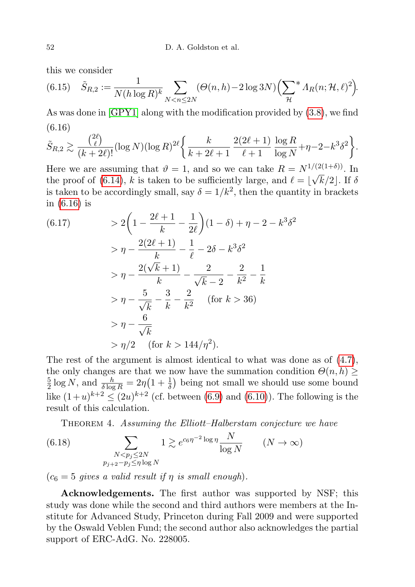this we consider

(6.15) 
$$
\tilde{S}_{R,2} := \frac{1}{N(h \log R)^k} \sum_{N < n \le 2N} (\Theta(n, h) - 2 \log 3N) \left( \sum_{\mathcal{H}}^* \Lambda_R(n; \mathcal{H}, \ell)^2 \right).
$$

As was done in [\[GPY1\]](#page-16-0) along with the modification provided by [\(3.8\)](#page-7-3), we find (6.16)

<span id="page-15-0"></span>
$$
\tilde{S}_{R,2} \gtrsim \frac{\binom{2\ell}{\ell}}{(k+2\ell)!} (\log N)(\log R)^{2\ell} \bigg\{ \frac{k}{k+2\ell+1} \frac{2(2\ell+1)}{\ell+1} \frac{\log R}{\log N} + \eta - 2 - k^3 \delta^2 \bigg\}.
$$

Here we are assuming that  $\vartheta = 1$ , and so we can take  $R = N^{1/(2(1+\delta))}$ . In the proof of [\(6.14\)](#page-14-2), k is taken to be sufficiently large, and  $\ell = |\sqrt{k/2}|$ . If  $\delta$ is taken to be accordingly small, say  $\delta = 1/k^2$ , then the quantity in brackets in [\(6.16\)](#page-15-0) is

(6.17) 
$$
> 2\left(1 - \frac{2\ell+1}{k} - \frac{1}{2\ell}\right)(1-\delta) + \eta - 2 - k^3\delta^2
$$

$$
> \eta - \frac{2(2\ell+1)}{k} - \frac{1}{\ell} - 2\delta - k^3\delta^2
$$

$$
> \eta - \frac{2(\sqrt{k}+1)}{k} - \frac{2}{\sqrt{k}-2} - \frac{2}{k^2} - \frac{1}{k}
$$

$$
> \eta - \frac{5}{\sqrt{k}} - \frac{3}{k} - \frac{2}{k^2} \quad \text{(for } k > 36\text{)}
$$

$$
> \eta - \frac{6}{\sqrt{k}}
$$

$$
> \eta/2 \quad \text{(for } k > 144/\eta^2\text{)}.
$$

The rest of the argument is almost identical to what was done as of  $(4.7)$ , the only changes are that we now have the summation condition  $\Theta(n, h) \geq$ 5  $\frac{5}{2} \log N$ , and  $\frac{h}{\delta \log R} = 2\eta \left(1 + \frac{1}{\delta}\right)$  being not small we should use some bound like  $(1+u)^{k+2} \le (2u)^{k+2}$  (cf. between [\(6.9\)](#page-14-3) and [\(6.10\)](#page-14-4)). The following is the result of this calculation.

THEOREM 4. Assuming the Elliott–Halberstam conjecture we have

(6.18) 
$$
\sum_{\substack{N < p_j \leq 2N \\ p_{j+2} - p_j \leq \eta \log N}} 1 \gtrsim e^{c_6 \eta^{-2} \log \eta} \frac{N}{\log N} \qquad (N \to \infty)
$$

 $(c_6 = 5$  gives a valid result if  $\eta$  is small enough).

Acknowledgements. The first author was supported by NSF; this study was done while the second and third authors were members at the Institute for Advanced Study, Princeton during Fall 2009 and were supported by the Oswald Veblen Fund; the second author also acknowledges the partial support of ERC-AdG. No. 228005.